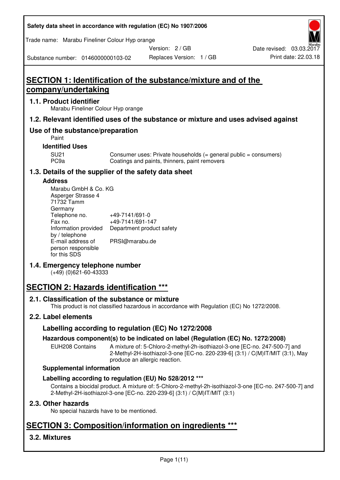| Safety data sheet in accordance with regulation (EC) No 1907/2006 |  |
|-------------------------------------------------------------------|--|
|-------------------------------------------------------------------|--|

Trade name: Marabu Fineliner Colour Hyp orange

Version: 2 / GB

Replaces Version: 1 / GB Print date: 22.03.18 Date revised: 03.03.2017

Substance number: 0146000000103-02

# **SECTION 1: Identification of the substance/mixture and of the company/undertaking**

# **1.1. Product identifier**

Marabu Fineliner Colour Hyp orange

# **1.2. Relevant identified uses of the substance or mixture and uses advised against**

# **Use of the substance/preparation**

Paint

# **Identified Uses**

SU21 Consumer uses: Private households (= general public = consumers)<br>PC9a Coatings and paints, thinners, paint removers Coatings and paints, thinners, paint removers

# **1.3. Details of the supplier of the safety data sheet**

#### **Address**

| Marabu GmbH & Co. KG |                           |
|----------------------|---------------------------|
| Asperger Strasse 4   |                           |
| 71732 Tamm           |                           |
| Germany              |                           |
| Telephone no.        | +49-7141/691-0            |
| Fax no.              | +49-7141/691-147          |
| Information provided | Department product safety |
| by / telephone       |                           |
| E-mail address of    | PRSI@marabu.de            |
| person responsible   |                           |
| for this SDS         |                           |

# **1.4. Emergency telephone number**

(+49) (0)621-60-43333

# **SECTION 2: Hazards identification \*\*\***

# **2.1. Classification of the substance or mixture**

This product is not classified hazardous in accordance with Regulation (EC) No 1272/2008.

# **2.2. Label elements**

# **Labelling according to regulation (EC) No 1272/2008**

# **Hazardous component(s) to be indicated on label (Regulation (EC) No. 1272/2008)**

EUH208 Contains A mixture of: 5-Chloro-2-methyl-2h-isothiazol-3-one [EC-no. 247-500-7] and 2-Methyl-2H-isothiazol-3-one [EC-no. 220-239-6] (3:1) / C(M)IT/MIT (3:1), May produce an allergic reaction.

#### **Supplemental information**

# **Labelling according to regulation (EU) No 528/2012 \*\*\***

Contains a biocidal product. A mixture of: 5-Chloro-2-methyl-2h-isothiazol-3-one [EC-no. 247-500-7] and 2-Methyl-2H-isothiazol-3-one [EC-no. 220-239-6] (3:1) / C(M)IT/MIT (3:1)

# **2.3. Other hazards**

No special hazards have to be mentioned.

# **SECTION 3: Composition/information on ingredients \*\*\***

# **3.2. Mixtures**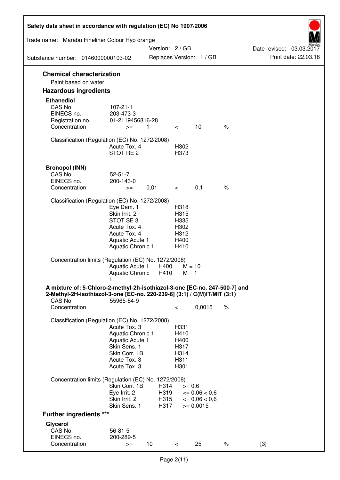| Safety data sheet in accordance with regulation (EC) No 1907/2006                                                                                                 |                                                                                                                             |                              |                                                      |                                                            |               |                          |
|-------------------------------------------------------------------------------------------------------------------------------------------------------------------|-----------------------------------------------------------------------------------------------------------------------------|------------------------------|------------------------------------------------------|------------------------------------------------------------|---------------|--------------------------|
| Trade name: Marabu Fineliner Colour Hyp orange                                                                                                                    |                                                                                                                             | Version: 2 / GB              |                                                      |                                                            |               | Date revised: 03.03.2017 |
| Substance number: 0146000000103-02                                                                                                                                |                                                                                                                             |                              |                                                      | Replaces Version: 1 / GB                                   |               | Print date: 22.03.18     |
| <b>Chemical characterization</b>                                                                                                                                  |                                                                                                                             |                              |                                                      |                                                            |               |                          |
| Paint based on water                                                                                                                                              |                                                                                                                             |                              |                                                      |                                                            |               |                          |
| <b>Hazardous ingredients</b>                                                                                                                                      |                                                                                                                             |                              |                                                      |                                                            |               |                          |
| <b>Ethanediol</b><br>CAS No.<br>EINECS no.<br>Registration no.                                                                                                    | $107 - 21 - 1$<br>203-473-3<br>01-2119456816-28                                                                             |                              |                                                      |                                                            |               |                          |
| Concentration                                                                                                                                                     | $>=$                                                                                                                        | 1.                           | $\lt$                                                | 10                                                         | $\%$          |                          |
| Classification (Regulation (EC) No. 1272/2008)                                                                                                                    | Acute Tox. 4<br>STOT RE <sub>2</sub>                                                                                        |                              | H302<br>H373                                         |                                                            |               |                          |
| <b>Bronopol (INN)</b><br>CAS No.<br>EINECS no.                                                                                                                    | $52 - 51 - 7$<br>200-143-0                                                                                                  |                              |                                                      |                                                            |               |                          |
| Concentration                                                                                                                                                     | $>=$                                                                                                                        | 0,01                         | $\lt$                                                | 0,1                                                        | $\frac{1}{6}$ |                          |
| Classification (Regulation (EC) No. 1272/2008)                                                                                                                    | Eye Dam. 1<br>Skin Irrit. 2<br>STOT SE <sub>3</sub><br>Acute Tox. 4<br>Acute Tox. 4<br>Aquatic Acute 1<br>Aquatic Chronic 1 |                              | H318<br>H315<br>H335<br>H302<br>H312<br>H400<br>H410 |                                                            |               |                          |
| Concentration limits (Regulation (EC) No. 1272/2008)                                                                                                              | Aquatic Acute 1<br>Aquatic Chronic                                                                                          | H400<br>H410                 | $M = 10$<br>$M = 1$                                  |                                                            |               |                          |
| A mixture of: 5-Chloro-2-methyl-2h-isothiazol-3-one [EC-no. 247-500-7] and<br>2-Methyl-2H-isothiazol-3-one [EC-no. 220-239-6] (3:1) / C(M)IT/MIT (3:1)<br>CAS No. | 55965-84-9                                                                                                                  |                              |                                                      |                                                            |               |                          |
| Concentration                                                                                                                                                     |                                                                                                                             |                              | $\,<\,$                                              | 0,0015                                                     | $\%$          |                          |
| Classification (Regulation (EC) No. 1272/2008)                                                                                                                    | Acute Tox, 3<br>Aquatic Chronic 1<br>Aquatic Acute 1<br>Skin Sens. 1<br>Skin Corr. 1B<br>Acute Tox. 3<br>Acute Tox. 3       |                              | H331<br>H410<br>H400<br>H317<br>H314<br>H311<br>H301 |                                                            |               |                          |
| Concentration limits (Regulation (EC) No. 1272/2008)                                                                                                              |                                                                                                                             |                              |                                                      |                                                            |               |                          |
|                                                                                                                                                                   | Skin Corr. 1B<br>Eye Irrit. 2<br>Skin Irrit. 2<br>Skin Sens. 1                                                              | H314<br>H319<br>H315<br>H317 | $>= 0,6$                                             | $\epsilon = 0.06 < 0.6$<br>$\leq 0.06 < 0.6$<br>$= 0,0015$ |               |                          |
| <b>Further ingredients ***</b>                                                                                                                                    |                                                                                                                             |                              |                                                      |                                                            |               |                          |
| Glycerol<br>CAS No.<br>EINECS no.<br>Concentration                                                                                                                | $56 - 81 - 5$<br>200-289-5<br>$>=$                                                                                          | 10                           | $\,<\,$                                              | 25                                                         | $\%$          | $[3]$                    |
|                                                                                                                                                                   |                                                                                                                             |                              |                                                      |                                                            |               |                          |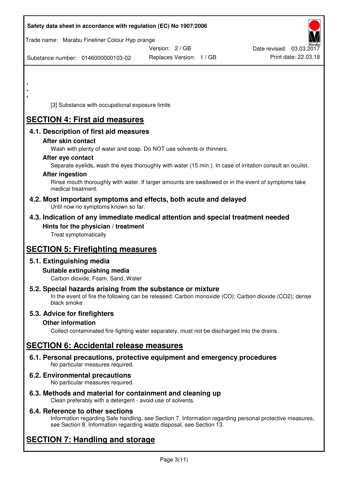| Safety data sheet in accordance with regulation (EC) No 1907/2006                                                       |                                                                                                            |                          |
|-------------------------------------------------------------------------------------------------------------------------|------------------------------------------------------------------------------------------------------------|--------------------------|
| Trade name: Marabu Fineliner Colour Hyp orange                                                                          |                                                                                                            |                          |
|                                                                                                                         | Version: 2 / GB                                                                                            | Date revised: 03.03.2017 |
| Substance number: 0146000000103-02                                                                                      | Replaces Version: 1 / GB                                                                                   | Print date: 22.03.18     |
|                                                                                                                         |                                                                                                            |                          |
|                                                                                                                         |                                                                                                            |                          |
|                                                                                                                         |                                                                                                            |                          |
| $\star$                                                                                                                 |                                                                                                            |                          |
| [3] Substance with occupational exposure limits                                                                         |                                                                                                            |                          |
| <b>SECTION 4: First aid measures</b>                                                                                    |                                                                                                            |                          |
| 4.1. Description of first aid measures                                                                                  |                                                                                                            |                          |
| After skin contact                                                                                                      |                                                                                                            |                          |
| Wash with plenty of water and soap. Do NOT use solvents or thinners.                                                    |                                                                                                            |                          |
| After eye contact                                                                                                       |                                                                                                            |                          |
| <b>After ingestion</b>                                                                                                  | Separate eyelids, wash the eyes thoroughly with water (15 min.). In case of irritation consult an oculist. |                          |
|                                                                                                                         | Rinse mouth thoroughly with water. If larger amounts are swallowed or in the event of symptoms take        |                          |
| medical treatment.                                                                                                      |                                                                                                            |                          |
| 4.2. Most important symptoms and effects, both acute and delayed<br>Until now no symptoms known so far.                 |                                                                                                            |                          |
| 4.3. Indication of any immediate medical attention and special treatment needed                                         |                                                                                                            |                          |
| Hints for the physician / treatment                                                                                     |                                                                                                            |                          |
| Treat symptomatically                                                                                                   |                                                                                                            |                          |
| <b>SECTION 5: Firefighting measures</b>                                                                                 |                                                                                                            |                          |
| 5.1. Extinguishing media                                                                                                |                                                                                                            |                          |
| Suitable extinguishing media                                                                                            |                                                                                                            |                          |
| Carbon dioxide, Foam, Sand, Water                                                                                       |                                                                                                            |                          |
| 5.2. Special hazards arising from the substance or mixture                                                              |                                                                                                            |                          |
| black smoke                                                                                                             | In the event of fire the following can be released: Carbon monoxide (CO); Carbon dioxide (CO2); dense      |                          |
| 5.3. Advice for firefighters                                                                                            |                                                                                                            |                          |
| <b>Other information</b>                                                                                                |                                                                                                            |                          |
|                                                                                                                         | Collect contaminated fire-fighting water separately, must not be discharged into the drains.               |                          |
| <b>SECTION 6: Accidental release measures</b>                                                                           |                                                                                                            |                          |
|                                                                                                                         |                                                                                                            |                          |
| 6.1. Personal precautions, protective equipment and emergency procedures<br>No particular measures required.            |                                                                                                            |                          |
| 6.2. Environmental precautions                                                                                          |                                                                                                            |                          |
| No particular measures required.                                                                                        |                                                                                                            |                          |
| 6.3. Methods and material for containment and cleaning up<br>Clean preferably with a detergent - avoid use of solvents. |                                                                                                            |                          |

# **6.4. Reference to other sections**

Information regarding Safe handling, see Section 7. Information regarding personal protective measures, see Section 8. Information regarding waste disposal, see Section 13.

# **SECTION 7: Handling and storage**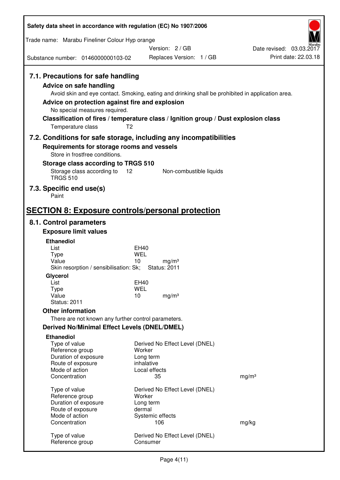| Safety data sheet in accordance with regulation (EC) No 1907/2006                                                                                                      |                                                                                                                                                                                                            |                                                  |
|------------------------------------------------------------------------------------------------------------------------------------------------------------------------|------------------------------------------------------------------------------------------------------------------------------------------------------------------------------------------------------------|--------------------------------------------------|
| Trade name: Marabu Fineliner Colour Hyp orange                                                                                                                         |                                                                                                                                                                                                            |                                                  |
|                                                                                                                                                                        | Version: 2/GB                                                                                                                                                                                              | Date revised: 03.03.2017<br>Print date: 22.03.18 |
| Substance number: 0146000000103-02                                                                                                                                     | Replaces Version: 1 / GB                                                                                                                                                                                   |                                                  |
| 7.1. Precautions for safe handling<br>Advice on safe handling<br>Advice on protection against fire and explosion<br>No special measures required.<br>Temperature class | Avoid skin and eye contact. Smoking, eating and drinking shall be prohibited in application area.<br>Classification of fires / temperature class / Ignition group / Dust explosion class<br>T <sub>2</sub> |                                                  |
| Requirements for storage rooms and vessels                                                                                                                             | 7.2. Conditions for safe storage, including any incompatibilities                                                                                                                                          |                                                  |
| Store in frostfree conditions.                                                                                                                                         |                                                                                                                                                                                                            |                                                  |
| Storage class according to TRGS 510                                                                                                                                    |                                                                                                                                                                                                            |                                                  |
| Storage class according to<br><b>TRGS 510</b>                                                                                                                          | 12<br>Non-combustible liquids                                                                                                                                                                              |                                                  |
| 7.3. Specific end use(s)<br>Paint                                                                                                                                      |                                                                                                                                                                                                            |                                                  |
| <b>SECTION 8: Exposure controls/personal protection</b>                                                                                                                |                                                                                                                                                                                                            |                                                  |
| 8.1. Control parameters                                                                                                                                                |                                                                                                                                                                                                            |                                                  |
| <b>Exposure limit values</b>                                                                                                                                           |                                                                                                                                                                                                            |                                                  |
| <b>Ethanediol</b><br>List                                                                                                                                              | EH40                                                                                                                                                                                                       |                                                  |
| <b>Type</b>                                                                                                                                                            | <b>WEL</b>                                                                                                                                                                                                 |                                                  |
| Value<br>Skin resorption / sensibilisation: Sk;                                                                                                                        | 10<br>mg/m <sup>3</sup><br><b>Status: 2011</b>                                                                                                                                                             |                                                  |
| Glycerol                                                                                                                                                               |                                                                                                                                                                                                            |                                                  |
| List                                                                                                                                                                   | <b>EH40</b>                                                                                                                                                                                                |                                                  |
| Type<br>Value                                                                                                                                                          | <b>WEL</b><br>10<br>mg/m <sup>3</sup>                                                                                                                                                                      |                                                  |
| <b>Status: 2011</b>                                                                                                                                                    |                                                                                                                                                                                                            |                                                  |
| <b>Other information</b>                                                                                                                                               |                                                                                                                                                                                                            |                                                  |
| There are not known any further control parameters.                                                                                                                    |                                                                                                                                                                                                            |                                                  |
| <b>Derived No/Minimal Effect Levels (DNEL/DMEL)</b>                                                                                                                    |                                                                                                                                                                                                            |                                                  |
| <b>Ethanediol</b><br>Type of value<br>Reference group<br>Duration of exposure<br>Route of exposure                                                                     | Derived No Effect Level (DNEL)<br>Worker<br>Long term<br>inhalative                                                                                                                                        |                                                  |
| Mode of action<br>Concentration                                                                                                                                        | Local effects<br>35                                                                                                                                                                                        | mg/m <sup>3</sup>                                |
| Type of value<br>Reference group<br>Duration of exposure<br>Route of exposure                                                                                          | Derived No Effect Level (DNEL)<br>Worker<br>Long term<br>dermal                                                                                                                                            |                                                  |
| Mode of action<br>Concentration                                                                                                                                        | Systemic effects<br>106                                                                                                                                                                                    | mg/kg                                            |
| Type of value<br>Reference group                                                                                                                                       | Derived No Effect Level (DNEL)<br>Consumer                                                                                                                                                                 |                                                  |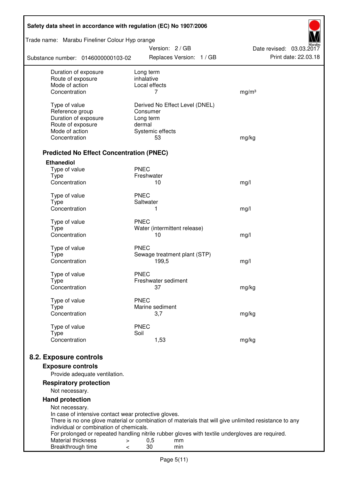| Safety data sheet in accordance with regulation (EC) No 1907/2006 |                                                                                                       |                          |  |  |  |
|-------------------------------------------------------------------|-------------------------------------------------------------------------------------------------------|--------------------------|--|--|--|
| Trade name: Marabu Fineliner Colour Hyp orange                    | Version: 2 / GB                                                                                       | Date revised: 03.03.2017 |  |  |  |
| Substance number: 0146000000103-02                                | Replaces Version: 1 / GB                                                                              | Print date: 22.03.18     |  |  |  |
| Duration of exposure<br>Route of exposure                         | Long term<br>inhalative                                                                               |                          |  |  |  |
| Mode of action                                                    | Local effects                                                                                         |                          |  |  |  |
| Concentration                                                     | 7                                                                                                     | mg/m <sup>3</sup>        |  |  |  |
| Type of value                                                     | Derived No Effect Level (DNEL)                                                                        |                          |  |  |  |
| Reference group                                                   | Consumer                                                                                              |                          |  |  |  |
| Duration of exposure                                              | Long term                                                                                             |                          |  |  |  |
| Route of exposure                                                 | dermal                                                                                                |                          |  |  |  |
| Mode of action                                                    | Systemic effects                                                                                      |                          |  |  |  |
| Concentration                                                     | 53                                                                                                    | mg/kg                    |  |  |  |
| <b>Predicted No Effect Concentration (PNEC)</b>                   |                                                                                                       |                          |  |  |  |
| <b>Ethanediol</b>                                                 |                                                                                                       |                          |  |  |  |
| Type of value                                                     | <b>PNEC</b>                                                                                           |                          |  |  |  |
| <b>Type</b>                                                       | Freshwater                                                                                            |                          |  |  |  |
| Concentration                                                     | 10                                                                                                    | mg/l                     |  |  |  |
| Type of value                                                     | <b>PNEC</b>                                                                                           |                          |  |  |  |
| <b>Type</b>                                                       | Saltwater                                                                                             |                          |  |  |  |
| Concentration                                                     | 1                                                                                                     | mg/l                     |  |  |  |
| Type of value                                                     | <b>PNEC</b>                                                                                           |                          |  |  |  |
| <b>Type</b>                                                       | Water (intermittent release)                                                                          |                          |  |  |  |
| Concentration                                                     | 10                                                                                                    | mg/l                     |  |  |  |
| Type of value                                                     | <b>PNEC</b>                                                                                           |                          |  |  |  |
| <b>Type</b>                                                       | Sewage treatment plant (STP)                                                                          |                          |  |  |  |
| Concentration                                                     | 199,5                                                                                                 | mg/l                     |  |  |  |
| Type of value                                                     | <b>PNEC</b>                                                                                           |                          |  |  |  |
| Type                                                              | Freshwater sediment                                                                                   |                          |  |  |  |
| Concentration                                                     | 37                                                                                                    | mg/kg                    |  |  |  |
| Type of value                                                     | <b>PNEC</b>                                                                                           |                          |  |  |  |
| Type                                                              | Marine sediment                                                                                       |                          |  |  |  |
| Concentration                                                     | 3,7                                                                                                   | mg/kg                    |  |  |  |
| Type of value                                                     | <b>PNEC</b>                                                                                           |                          |  |  |  |
| <b>Type</b>                                                       | Soil                                                                                                  |                          |  |  |  |
| Concentration                                                     | 1,53                                                                                                  | mg/kg                    |  |  |  |
| 8.2. Exposure controls                                            |                                                                                                       |                          |  |  |  |
| <b>Exposure controls</b>                                          |                                                                                                       |                          |  |  |  |
| Provide adequate ventilation.                                     |                                                                                                       |                          |  |  |  |
| <b>Respiratory protection</b>                                     |                                                                                                       |                          |  |  |  |
| Not necessary.                                                    |                                                                                                       |                          |  |  |  |
| <b>Hand protection</b>                                            |                                                                                                       |                          |  |  |  |
| Not necessary.                                                    |                                                                                                       |                          |  |  |  |
| In case of intensive contact wear protective gloves.              | There is no one glove material or combination of materials that will give unlimited resistance to any |                          |  |  |  |
| individual or combination of chemicals.                           |                                                                                                       |                          |  |  |  |
|                                                                   | For prolonged or repeated handling nitrile rubber gloves with textile undergloves are required.       |                          |  |  |  |
| Material thickness<br>$\, > \,$                                   | 0,5<br>mm<br>30                                                                                       |                          |  |  |  |
| Breakthrough time<br>$\,<\,$                                      | min                                                                                                   |                          |  |  |  |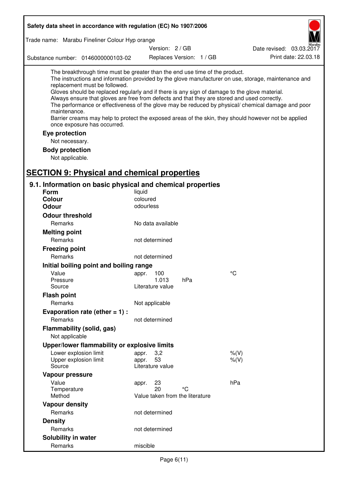| Safety data sheet in accordance with regulation (EC) No 1907/2006                                                                                                                                                                                                                                                                                            |                                 |                          |                                                                                                                                                                                                                                                                                                                    |
|--------------------------------------------------------------------------------------------------------------------------------------------------------------------------------------------------------------------------------------------------------------------------------------------------------------------------------------------------------------|---------------------------------|--------------------------|--------------------------------------------------------------------------------------------------------------------------------------------------------------------------------------------------------------------------------------------------------------------------------------------------------------------|
| Trade name: Marabu Fineliner Colour Hyp orange                                                                                                                                                                                                                                                                                                               |                                 |                          |                                                                                                                                                                                                                                                                                                                    |
|                                                                                                                                                                                                                                                                                                                                                              | Version: 2 / GB                 |                          | Date revised: 03.03.2017                                                                                                                                                                                                                                                                                           |
| Substance number: 0146000000103-02                                                                                                                                                                                                                                                                                                                           |                                 | Replaces Version: 1 / GB | Print date: 22.03.18                                                                                                                                                                                                                                                                                               |
| The breakthrough time must be greater than the end use time of the product.<br>replacement must be followed.<br>Gloves should be replaced regularly and if there is any sign of damage to the glove material.<br>Always ensure that gloves are free from defects and that they are stored and used correctly.<br>maintenance.<br>once exposure has occurred. |                                 |                          | The instructions and information provided by the glove manufacturer on use, storage, maintenance and<br>The performance or effectiveness of the glove may be reduced by physical/ chemical damage and poor<br>Barrier creams may help to protect the exposed areas of the skin, they should however not be applied |
| Eye protection                                                                                                                                                                                                                                                                                                                                               |                                 |                          |                                                                                                                                                                                                                                                                                                                    |
| Not necessary.                                                                                                                                                                                                                                                                                                                                               |                                 |                          |                                                                                                                                                                                                                                                                                                                    |
| <b>Body protection</b>                                                                                                                                                                                                                                                                                                                                       |                                 |                          |                                                                                                                                                                                                                                                                                                                    |
| Not applicable.                                                                                                                                                                                                                                                                                                                                              |                                 |                          |                                                                                                                                                                                                                                                                                                                    |
|                                                                                                                                                                                                                                                                                                                                                              |                                 |                          |                                                                                                                                                                                                                                                                                                                    |
| <b>SECTION 9: Physical and chemical properties</b>                                                                                                                                                                                                                                                                                                           |                                 |                          |                                                                                                                                                                                                                                                                                                                    |
| 9.1. Information on basic physical and chemical properties                                                                                                                                                                                                                                                                                                   |                                 |                          |                                                                                                                                                                                                                                                                                                                    |
| Form<br>Colour                                                                                                                                                                                                                                                                                                                                               | liquid<br>coloured              |                          |                                                                                                                                                                                                                                                                                                                    |
| <b>Odour</b>                                                                                                                                                                                                                                                                                                                                                 | odourless                       |                          |                                                                                                                                                                                                                                                                                                                    |
| <b>Odour threshold</b>                                                                                                                                                                                                                                                                                                                                       |                                 |                          |                                                                                                                                                                                                                                                                                                                    |
| Remarks                                                                                                                                                                                                                                                                                                                                                      | No data available               |                          |                                                                                                                                                                                                                                                                                                                    |
| <b>Melting point</b>                                                                                                                                                                                                                                                                                                                                         |                                 |                          |                                                                                                                                                                                                                                                                                                                    |
| Remarks                                                                                                                                                                                                                                                                                                                                                      | not determined                  |                          |                                                                                                                                                                                                                                                                                                                    |
| <b>Freezing point</b>                                                                                                                                                                                                                                                                                                                                        |                                 |                          |                                                                                                                                                                                                                                                                                                                    |
| Remarks                                                                                                                                                                                                                                                                                                                                                      | not determined                  |                          |                                                                                                                                                                                                                                                                                                                    |
| Initial boiling point and boiling range                                                                                                                                                                                                                                                                                                                      |                                 |                          |                                                                                                                                                                                                                                                                                                                    |
| Value                                                                                                                                                                                                                                                                                                                                                        | appr. 100                       |                          | $^{\circ}C$                                                                                                                                                                                                                                                                                                        |
| Pressure                                                                                                                                                                                                                                                                                                                                                     | 1.013                           | hPa                      |                                                                                                                                                                                                                                                                                                                    |
| Source                                                                                                                                                                                                                                                                                                                                                       | Literature value                |                          |                                                                                                                                                                                                                                                                                                                    |
| <b>Flash point</b>                                                                                                                                                                                                                                                                                                                                           |                                 |                          |                                                                                                                                                                                                                                                                                                                    |
| Remarks                                                                                                                                                                                                                                                                                                                                                      | Not applicable                  |                          |                                                                                                                                                                                                                                                                                                                    |
| Evaporation rate (ether $= 1$ ) :                                                                                                                                                                                                                                                                                                                            |                                 |                          |                                                                                                                                                                                                                                                                                                                    |
| Remarks                                                                                                                                                                                                                                                                                                                                                      | not determined                  |                          |                                                                                                                                                                                                                                                                                                                    |
| Flammability (solid, gas)                                                                                                                                                                                                                                                                                                                                    |                                 |                          |                                                                                                                                                                                                                                                                                                                    |
| Not applicable                                                                                                                                                                                                                                                                                                                                               |                                 |                          |                                                                                                                                                                                                                                                                                                                    |
| Upper/lower flammability or explosive limits                                                                                                                                                                                                                                                                                                                 |                                 |                          |                                                                                                                                                                                                                                                                                                                    |
| Lower explosion limit                                                                                                                                                                                                                                                                                                                                        | 3,2<br>appr.                    |                          | $%$ (V)                                                                                                                                                                                                                                                                                                            |
| Upper explosion limit                                                                                                                                                                                                                                                                                                                                        | 53<br>appr.                     |                          | $%$ (V)                                                                                                                                                                                                                                                                                                            |
| Source                                                                                                                                                                                                                                                                                                                                                       | Literature value                |                          |                                                                                                                                                                                                                                                                                                                    |
| Vapour pressure                                                                                                                                                                                                                                                                                                                                              |                                 |                          |                                                                                                                                                                                                                                                                                                                    |
| Value<br>Temperature                                                                                                                                                                                                                                                                                                                                         | 23<br>appr.<br>20               | °C                       | hPa                                                                                                                                                                                                                                                                                                                |
| Method                                                                                                                                                                                                                                                                                                                                                       | Value taken from the literature |                          |                                                                                                                                                                                                                                                                                                                    |
| <b>Vapour density</b>                                                                                                                                                                                                                                                                                                                                        |                                 |                          |                                                                                                                                                                                                                                                                                                                    |
| Remarks                                                                                                                                                                                                                                                                                                                                                      | not determined                  |                          |                                                                                                                                                                                                                                                                                                                    |
| <b>Density</b>                                                                                                                                                                                                                                                                                                                                               |                                 |                          |                                                                                                                                                                                                                                                                                                                    |
| Remarks                                                                                                                                                                                                                                                                                                                                                      | not determined                  |                          |                                                                                                                                                                                                                                                                                                                    |
| Solubility in water                                                                                                                                                                                                                                                                                                                                          |                                 |                          |                                                                                                                                                                                                                                                                                                                    |
| Remarks                                                                                                                                                                                                                                                                                                                                                      | miscible                        |                          |                                                                                                                                                                                                                                                                                                                    |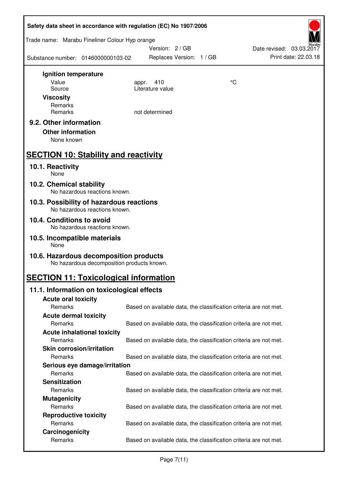| Safety data sheet in accordance with regulation (EC) No 1907/2006                    |       |                                                                   |    |                          |  |
|--------------------------------------------------------------------------------------|-------|-------------------------------------------------------------------|----|--------------------------|--|
| Trade name: Marabu Fineliner Colour Hyp orange                                       |       | Version: 2/GB                                                     |    | Date revised: 03.03.2017 |  |
| Substance number: 0146000000103-02                                                   |       | Replaces Version: 1 / GB                                          |    | Print date: 22.03.18     |  |
| Ignition temperature                                                                 |       |                                                                   |    |                          |  |
| Value                                                                                | appr. | 410                                                               | °C |                          |  |
| Source                                                                               |       | Literature value                                                  |    |                          |  |
| <b>Viscosity</b>                                                                     |       |                                                                   |    |                          |  |
| Remarks<br>Remarks                                                                   |       | not determined                                                    |    |                          |  |
|                                                                                      |       |                                                                   |    |                          |  |
| 9.2. Other information                                                               |       |                                                                   |    |                          |  |
| <b>Other information</b><br>None known                                               |       |                                                                   |    |                          |  |
|                                                                                      |       |                                                                   |    |                          |  |
| <b>SECTION 10: Stability and reactivity</b>                                          |       |                                                                   |    |                          |  |
| 10.1. Reactivity<br>None                                                             |       |                                                                   |    |                          |  |
| 10.2. Chemical stability<br>No hazardous reactions known.                            |       |                                                                   |    |                          |  |
| 10.3. Possibility of hazardous reactions<br>No hazardous reactions known.            |       |                                                                   |    |                          |  |
| 10.4. Conditions to avoid                                                            |       |                                                                   |    |                          |  |
| No hazardous reactions known.                                                        |       |                                                                   |    |                          |  |
| 10.5. Incompatible materials<br>None                                                 |       |                                                                   |    |                          |  |
| 10.6. Hazardous decomposition products<br>No hazardous decomposition products known. |       |                                                                   |    |                          |  |
| <b>SECTION 11: Toxicological information</b>                                         |       |                                                                   |    |                          |  |
| 11.1. Information on toxicological effects                                           |       |                                                                   |    |                          |  |
| <b>Acute oral toxicity</b>                                                           |       |                                                                   |    |                          |  |
| Remarks                                                                              |       | Based on available data, the classification criteria are not met. |    |                          |  |
| <b>Acute dermal toxicity</b>                                                         |       |                                                                   |    |                          |  |
| Remarks                                                                              |       | Based on available data, the classification criteria are not met. |    |                          |  |
| <b>Acute inhalational toxicity</b>                                                   |       |                                                                   |    |                          |  |
| Remarks                                                                              |       | Based on available data, the classification criteria are not met. |    |                          |  |
| <b>Skin corrosion/irritation</b>                                                     |       |                                                                   |    |                          |  |
| Remarks                                                                              |       | Based on available data, the classification criteria are not met. |    |                          |  |
| Serious eye damage/irritation                                                        |       |                                                                   |    |                          |  |
| Remarks                                                                              |       | Based on available data, the classification criteria are not met. |    |                          |  |
| <b>Sensitization</b><br>Remarks                                                      |       |                                                                   |    |                          |  |
|                                                                                      |       | Based on available data, the classification criteria are not met. |    |                          |  |
| <b>Mutagenicity</b><br>Remarks                                                       |       | Based on available data, the classification criteria are not met. |    |                          |  |
| <b>Reproductive toxicity</b>                                                         |       |                                                                   |    |                          |  |
| Remarks                                                                              |       | Based on available data, the classification criteria are not met. |    |                          |  |
| Carcinogenicity                                                                      |       |                                                                   |    |                          |  |
| Remarks                                                                              |       | Based on available data, the classification criteria are not met. |    |                          |  |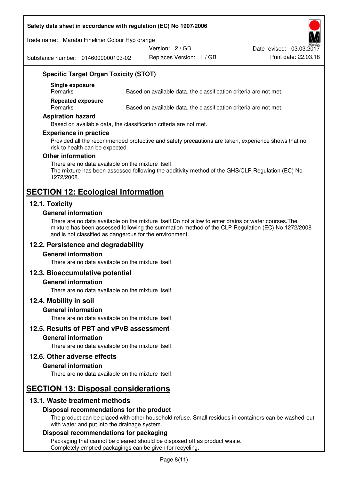#### **Safety data sheet in accordance with regulation (EC) No 1907/2006**

Trade name: Marabu Fineliner Colour Hyp orange

Version: 2 / GB

Substance number: 0146000000103-02

Replaces Version: 1 / GB Print date: 22.03.18 Date revised: 03.03.2017

# **Specific Target Organ Toxicity (STOT)**

**Single exposure** 

Based on available data, the classification criteria are not met.

**Repeated exposure** 

Remarks Based on available data, the classification criteria are not met.

#### **Aspiration hazard**

Based on available data, the classification criteria are not met.

#### **Experience in practice**

Provided all the recommended protective and safety precautions are taken, experience shows that no risk to health can be expected.

#### **Other information**

There are no data available on the mixture itself. The mixture has been assessed following the additivity method of the GHS/CLP Regulation (EC) No 1272/2008.

# **SECTION 12: Ecological information**

# **12.1. Toxicity**

#### **General information**

There are no data available on the mixture itself.Do not allow to enter drains or water courses.The mixture has been assessed following the summation method of the CLP Regulation (EC) No 1272/2008 and is not classified as dangerous for the environment.

# **12.2. Persistence and degradability**

#### **General information**

There are no data available on the mixture itself.

# **12.3. Bioaccumulative potential**

#### **General information**

There are no data available on the mixture itself.

#### **12.4. Mobility in soil**

#### **General information**

There are no data available on the mixture itself.

**12.5. Results of PBT and vPvB assessment** 

#### **General information**

There are no data available on the mixture itself.

#### **12.6. Other adverse effects**

#### **General information**

There are no data available on the mixture itself.

# **SECTION 13: Disposal considerations**

# **13.1. Waste treatment methods**

# **Disposal recommendations for the product**

The product can be placed with other household refuse. Small residues in containers can be washed-out with water and put into the drainage system.

#### **Disposal recommendations for packaging**

Packaging that cannot be cleaned should be disposed off as product waste. Completely emptied packagings can be given for recycling.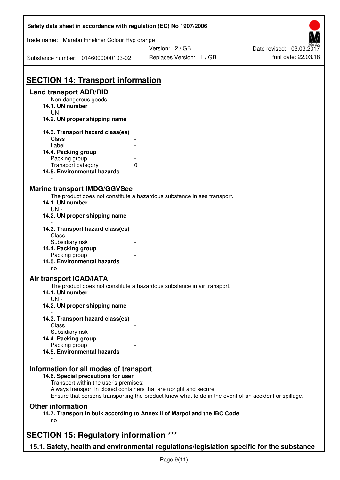| Safety data sheet in accordance with regulation (EC) No 1907/2006                         |                                                                                                       |                          |
|-------------------------------------------------------------------------------------------|-------------------------------------------------------------------------------------------------------|--------------------------|
| Trade name: Marabu Fineliner Colour Hyp orange                                            |                                                                                                       |                          |
|                                                                                           | Version: 2/GB                                                                                         | Date revised: 03.03.2017 |
| Substance number: 0146000000103-02                                                        | Replaces Version: 1 / GB                                                                              | Print date: 22.03.18     |
|                                                                                           |                                                                                                       |                          |
| <b>SECTION 14: Transport information</b>                                                  |                                                                                                       |                          |
| <b>Land transport ADR/RID</b><br>Non-dangerous goods                                      |                                                                                                       |                          |
| 14.1. UN number                                                                           |                                                                                                       |                          |
| $UN -$                                                                                    |                                                                                                       |                          |
| 14.2. UN proper shipping name                                                             |                                                                                                       |                          |
| 14.3. Transport hazard class(es)                                                          |                                                                                                       |                          |
| Class                                                                                     |                                                                                                       |                          |
| Label<br>14.4. Packing group                                                              |                                                                                                       |                          |
| Packing group                                                                             |                                                                                                       |                          |
| Transport category                                                                        | 0                                                                                                     |                          |
| 14.5. Environmental hazards                                                               |                                                                                                       |                          |
| <b>Marine transport IMDG/GGVSee</b>                                                       |                                                                                                       |                          |
|                                                                                           | The product does not constitute a hazardous substance in sea transport.                               |                          |
| 14.1. UN number                                                                           |                                                                                                       |                          |
| UN -                                                                                      |                                                                                                       |                          |
| 14.2. UN proper shipping name                                                             |                                                                                                       |                          |
| 14.3. Transport hazard class(es)                                                          |                                                                                                       |                          |
| Class                                                                                     |                                                                                                       |                          |
| Subsidiary risk                                                                           |                                                                                                       |                          |
| 14.4. Packing group                                                                       |                                                                                                       |                          |
| Packing group                                                                             |                                                                                                       |                          |
| 14.5. Environmental hazards<br>no                                                         |                                                                                                       |                          |
| Air transport ICAO/IATA                                                                   |                                                                                                       |                          |
|                                                                                           | The product does not constitute a hazardous substance in air transport.                               |                          |
| 14.1. UN number                                                                           |                                                                                                       |                          |
| $UN -$<br>14.2. UN proper shipping name                                                   |                                                                                                       |                          |
|                                                                                           |                                                                                                       |                          |
| 14.3. Transport hazard class(es)                                                          |                                                                                                       |                          |
| Class                                                                                     |                                                                                                       |                          |
| Subsidiary risk<br>14.4. Packing group                                                    |                                                                                                       |                          |
| Packing group                                                                             |                                                                                                       |                          |
| 14.5. Environmental hazards                                                               |                                                                                                       |                          |
|                                                                                           |                                                                                                       |                          |
| Information for all modes of transport<br>14.6. Special precautions for user              |                                                                                                       |                          |
| Transport within the user's premises:                                                     |                                                                                                       |                          |
|                                                                                           | Always transport in closed containers that are upright and secure.                                    |                          |
|                                                                                           | Ensure that persons transporting the product know what to do in the event of an accident or spillage. |                          |
| <b>Other information</b>                                                                  |                                                                                                       |                          |
|                                                                                           | 14.7. Transport in bulk according to Annex II of Marpol and the IBC Code                              |                          |
| no                                                                                        |                                                                                                       |                          |
| <b>SECTION 15: Regulatory information ***</b>                                             |                                                                                                       |                          |
|                                                                                           |                                                                                                       |                          |
| 15.1. Safety, health and environmental regulations/legislation specific for the substance |                                                                                                       |                          |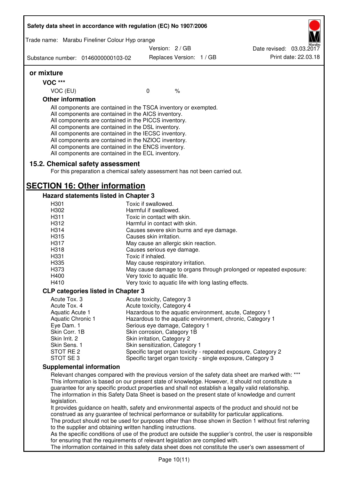|                              | Trade name: Marabu Fineliner Colour Hyp orange                                                                                                                                                                                                                                                                                                                                                                                                                                                        |                                                          |  |                                                                                                                                                                                                                                                                                                                                                                                                                  |
|------------------------------|-------------------------------------------------------------------------------------------------------------------------------------------------------------------------------------------------------------------------------------------------------------------------------------------------------------------------------------------------------------------------------------------------------------------------------------------------------------------------------------------------------|----------------------------------------------------------|--|------------------------------------------------------------------------------------------------------------------------------------------------------------------------------------------------------------------------------------------------------------------------------------------------------------------------------------------------------------------------------------------------------------------|
|                              |                                                                                                                                                                                                                                                                                                                                                                                                                                                                                                       | Version: 2 / GB                                          |  | Date revised: 03.03.2017                                                                                                                                                                                                                                                                                                                                                                                         |
|                              | Substance number: 0146000000103-02                                                                                                                                                                                                                                                                                                                                                                                                                                                                    | Replaces Version: 1 / GB                                 |  | Print date: 22.03.18                                                                                                                                                                                                                                                                                                                                                                                             |
| or mixture                   |                                                                                                                                                                                                                                                                                                                                                                                                                                                                                                       |                                                          |  |                                                                                                                                                                                                                                                                                                                                                                                                                  |
| <b>VOC ***</b>               |                                                                                                                                                                                                                                                                                                                                                                                                                                                                                                       |                                                          |  |                                                                                                                                                                                                                                                                                                                                                                                                                  |
| VOC (EU)                     |                                                                                                                                                                                                                                                                                                                                                                                                                                                                                                       | $\frac{1}{6}$<br>0                                       |  |                                                                                                                                                                                                                                                                                                                                                                                                                  |
| <b>Other information</b>     |                                                                                                                                                                                                                                                                                                                                                                                                                                                                                                       |                                                          |  |                                                                                                                                                                                                                                                                                                                                                                                                                  |
|                              | All components are contained in the TSCA inventory or exempted.<br>All components are contained in the AICS inventory.<br>All components are contained in the PICCS inventory.<br>All components are contained in the DSL inventory.<br>All components are contained in the IECSC inventory.<br>All components are contained in the NZIOC inventory.<br>All components are contained in the ENCS inventory.<br>All components are contained in the ECL inventory.<br>15.2. Chemical safety assessment |                                                          |  |                                                                                                                                                                                                                                                                                                                                                                                                                  |
|                              | For this preparation a chemical safety assessment has not been carried out.                                                                                                                                                                                                                                                                                                                                                                                                                           |                                                          |  |                                                                                                                                                                                                                                                                                                                                                                                                                  |
|                              | <b>SECTION 16: Other information</b>                                                                                                                                                                                                                                                                                                                                                                                                                                                                  |                                                          |  |                                                                                                                                                                                                                                                                                                                                                                                                                  |
|                              | <b>Hazard statements listed in Chapter 3</b>                                                                                                                                                                                                                                                                                                                                                                                                                                                          |                                                          |  |                                                                                                                                                                                                                                                                                                                                                                                                                  |
| H301                         |                                                                                                                                                                                                                                                                                                                                                                                                                                                                                                       | Toxic if swallowed.                                      |  |                                                                                                                                                                                                                                                                                                                                                                                                                  |
| H302                         |                                                                                                                                                                                                                                                                                                                                                                                                                                                                                                       | Harmful if swallowed.                                    |  |                                                                                                                                                                                                                                                                                                                                                                                                                  |
| H311                         |                                                                                                                                                                                                                                                                                                                                                                                                                                                                                                       | Toxic in contact with skin.                              |  |                                                                                                                                                                                                                                                                                                                                                                                                                  |
| H312                         |                                                                                                                                                                                                                                                                                                                                                                                                                                                                                                       | Harmful in contact with skin.                            |  |                                                                                                                                                                                                                                                                                                                                                                                                                  |
| H314                         |                                                                                                                                                                                                                                                                                                                                                                                                                                                                                                       | Causes severe skin burns and eye damage.                 |  |                                                                                                                                                                                                                                                                                                                                                                                                                  |
| H315                         |                                                                                                                                                                                                                                                                                                                                                                                                                                                                                                       | Causes skin irritation.                                  |  |                                                                                                                                                                                                                                                                                                                                                                                                                  |
| H317                         |                                                                                                                                                                                                                                                                                                                                                                                                                                                                                                       | May cause an allergic skin reaction.                     |  |                                                                                                                                                                                                                                                                                                                                                                                                                  |
| H318<br>H331                 |                                                                                                                                                                                                                                                                                                                                                                                                                                                                                                       | Causes serious eye damage.<br>Toxic if inhaled.          |  |                                                                                                                                                                                                                                                                                                                                                                                                                  |
| H335                         |                                                                                                                                                                                                                                                                                                                                                                                                                                                                                                       | May cause respiratory irritation.                        |  |                                                                                                                                                                                                                                                                                                                                                                                                                  |
| H373                         |                                                                                                                                                                                                                                                                                                                                                                                                                                                                                                       |                                                          |  | May cause damage to organs through prolonged or repeated exposure:                                                                                                                                                                                                                                                                                                                                               |
| H400                         |                                                                                                                                                                                                                                                                                                                                                                                                                                                                                                       | Very toxic to aquatic life.                              |  |                                                                                                                                                                                                                                                                                                                                                                                                                  |
| H410                         |                                                                                                                                                                                                                                                                                                                                                                                                                                                                                                       | Very toxic to aquatic life with long lasting effects.    |  |                                                                                                                                                                                                                                                                                                                                                                                                                  |
|                              |                                                                                                                                                                                                                                                                                                                                                                                                                                                                                                       |                                                          |  |                                                                                                                                                                                                                                                                                                                                                                                                                  |
|                              | <b>CLP categories listed in Chapter 3</b>                                                                                                                                                                                                                                                                                                                                                                                                                                                             |                                                          |  |                                                                                                                                                                                                                                                                                                                                                                                                                  |
| Acute Tox. 3<br>Acute Tox. 4 |                                                                                                                                                                                                                                                                                                                                                                                                                                                                                                       | Acute toxicity, Category 3<br>Acute toxicity, Category 4 |  |                                                                                                                                                                                                                                                                                                                                                                                                                  |
| Aquatic Acute 1              |                                                                                                                                                                                                                                                                                                                                                                                                                                                                                                       |                                                          |  | Hazardous to the aquatic environment, acute, Category 1                                                                                                                                                                                                                                                                                                                                                          |
| <b>Aquatic Chronic 1</b>     |                                                                                                                                                                                                                                                                                                                                                                                                                                                                                                       |                                                          |  | Hazardous to the aquatic environment, chronic, Category 1                                                                                                                                                                                                                                                                                                                                                        |
| Eye Dam. 1                   |                                                                                                                                                                                                                                                                                                                                                                                                                                                                                                       | Serious eye damage, Category 1                           |  |                                                                                                                                                                                                                                                                                                                                                                                                                  |
| Skin Corr. 1B                |                                                                                                                                                                                                                                                                                                                                                                                                                                                                                                       | Skin corrosion, Category 1B                              |  |                                                                                                                                                                                                                                                                                                                                                                                                                  |
| Skin Irrit. 2                |                                                                                                                                                                                                                                                                                                                                                                                                                                                                                                       | Skin irritation, Category 2                              |  |                                                                                                                                                                                                                                                                                                                                                                                                                  |
| Skin Sens. 1                 |                                                                                                                                                                                                                                                                                                                                                                                                                                                                                                       | Skin sensitization, Category 1                           |  |                                                                                                                                                                                                                                                                                                                                                                                                                  |
| STOT RE 2                    |                                                                                                                                                                                                                                                                                                                                                                                                                                                                                                       |                                                          |  | Specific target organ toxicity - repeated exposure, Category 2                                                                                                                                                                                                                                                                                                                                                   |
| STOT SE 3                    |                                                                                                                                                                                                                                                                                                                                                                                                                                                                                                       |                                                          |  | Specific target organ toxicity - single exposure, Category 3                                                                                                                                                                                                                                                                                                                                                     |
|                              | <b>Supplemental information</b>                                                                                                                                                                                                                                                                                                                                                                                                                                                                       |                                                          |  |                                                                                                                                                                                                                                                                                                                                                                                                                  |
| legislation.                 |                                                                                                                                                                                                                                                                                                                                                                                                                                                                                                       |                                                          |  | Relevant changes compared with the previous version of the safety data sheet are marked with: ***<br>This information is based on our present state of knowledge. However, it should not constitute a<br>guarantee for any specific product properties and shall not establish a legally valid relationship.<br>The information in this Safety Data Sheet is based on the present state of knowledge and current |
|                              | construed as any guarantee of technical performance or suitability for particular applications.<br>to the supplier and obtaining written handling instructions.                                                                                                                                                                                                                                                                                                                                       |                                                          |  | It provides guidance on health, safety and environmental aspects of the product and should not be<br>The product should not be used for purposes other than those shown in Section 1 without first referring                                                                                                                                                                                                     |
|                              | for ensuring that the requirements of relevant legislation are complied with.                                                                                                                                                                                                                                                                                                                                                                                                                         |                                                          |  | As the specific conditions of use of the product are outside the supplier's control, the user is responsible<br>The information contained in this safety data sheet does not constitute the user's own assessment of                                                                                                                                                                                             |